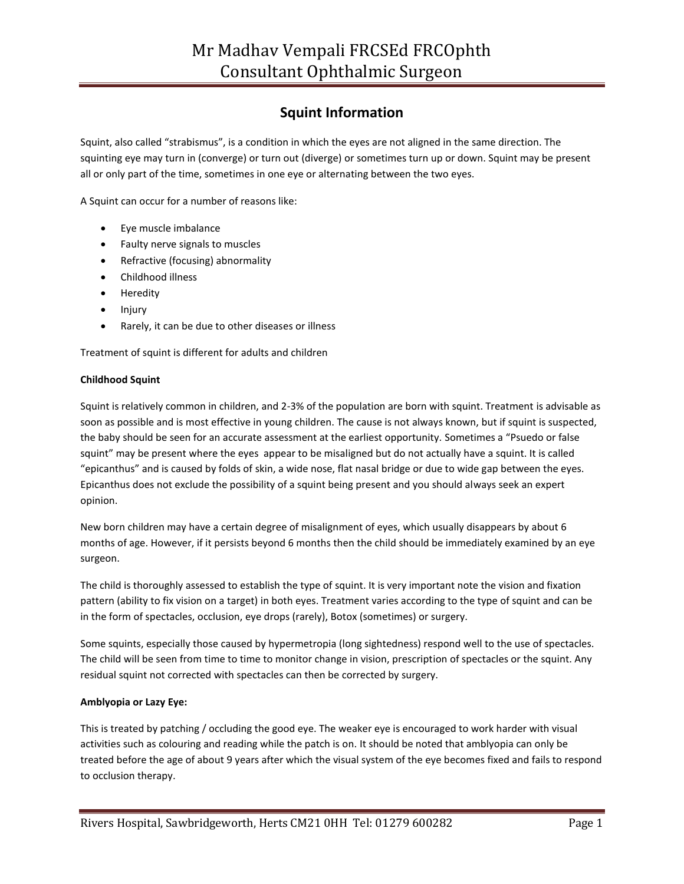# **Squint Information**

Squint, also called "strabismus", is a condition in which the eyes are not aligned in the same direction. The squinting eye may turn in (converge) or turn out (diverge) or sometimes turn up or down. Squint may be present all or only part of the time, sometimes in one eye or alternating between the two eyes.

A Squint can occur for a number of reasons like:

- Eye muscle imbalance
- Faulty nerve signals to muscles
- Refractive (focusing) abnormality
- Childhood illness
- Heredity
- Injury
- Rarely, it can be due to other diseases or illness

Treatment of squint is different for adults and children

#### **Childhood Squint**

Squint is relatively common in children, and 2-3% of the population are born with squint. Treatment is advisable as soon as possible and is most effective in young children. The cause is not always known, but if squint is suspected, the baby should be seen for an accurate assessment at the earliest opportunity. Sometimes a "Psuedo or false squint" may be present where the eyes appear to be misaligned but do not actually have a squint. It is called "epicanthus" and is caused by folds of skin, a wide nose, flat nasal bridge or due to wide gap between the eyes. Epicanthus does not exclude the possibility of a squint being present and you should always seek an expert opinion.

New born children may have a certain degree of misalignment of eyes, which usually disappears by about 6 months of age. However, if it persists beyond 6 months then the child should be immediately examined by an eye surgeon.

The child is thoroughly assessed to establish the type of squint. It is very important note the vision and fixation pattern (ability to fix vision on a target) in both eyes. Treatment varies according to the type of squint and can be in the form of spectacles, occlusion, eye drops (rarely), Botox (sometimes) or surgery.

Some squints, especially those caused by hypermetropia (long sightedness) respond well to the use of spectacles. The child will be seen from time to time to monitor change in vision, prescription of spectacles or the squint. Any residual squint not corrected with spectacles can then be corrected by surgery.

#### **Amblyopia or Lazy Eye:**

This is treated by patching / occluding the good eye. The weaker eye is encouraged to work harder with visual activities such as colouring and reading while the patch is on. It should be noted that amblyopia can only be treated before the age of about 9 years after which the visual system of the eye becomes fixed and fails to respond to occlusion therapy.